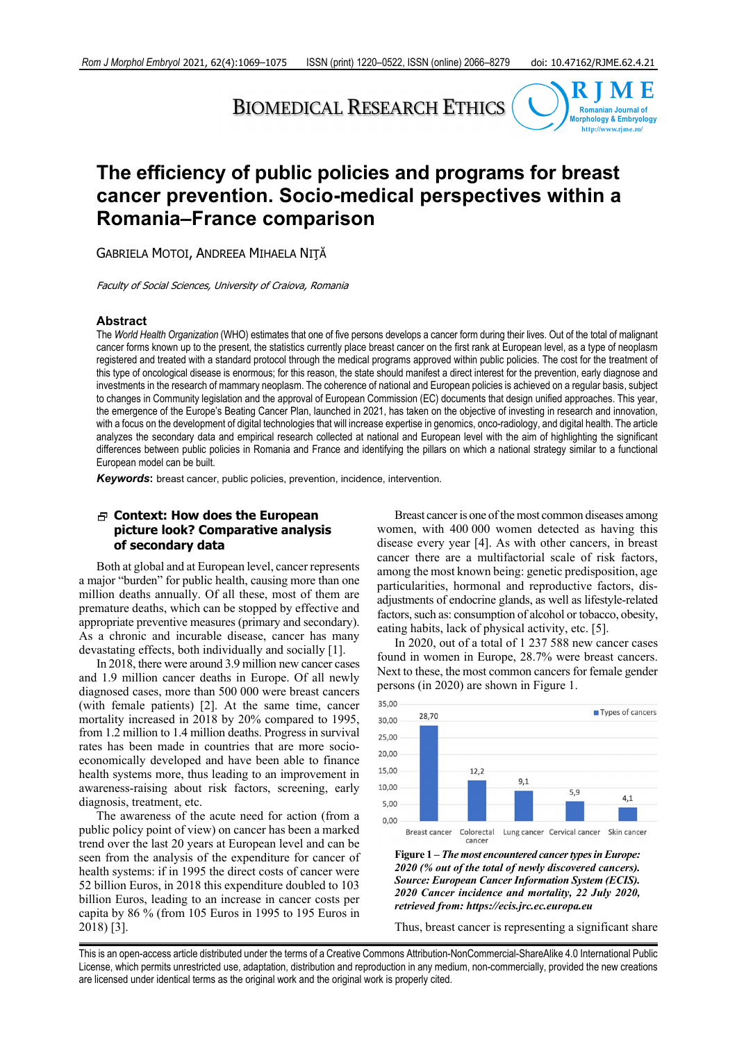# BIOMEDICAL RESEARCH ETHICS



# **The efficiency of public policies and programs for breast cancer prevention. Socio-medical perspectives within a Romania–France comparison**

GABRIELA MOTOI, ANDREEA MIHAELA NIŢĂ

Faculty of Social Sciences, University of Craiova, Romania

#### **Abstract**

The *World Health Organization* (WHO) estimates that one of five persons develops a cancer form during their lives. Out of the total of malignant cancer forms known up to the present, the statistics currently place breast cancer on the first rank at European level, as a type of neoplasm registered and treated with a standard protocol through the medical programs approved within public policies. The cost for the treatment of this type of oncological disease is enormous; for this reason, the state should manifest a direct interest for the prevention, early diagnose and investments in the research of mammary neoplasm. The coherence of national and European policies is achieved on a regular basis, subject to changes in Community legislation and the approval of European Commission (EC) documents that design unified approaches. This year, the emergence of the Europe's Beating Cancer Plan, launched in 2021, has taken on the objective of investing in research and innovation, with a focus on the development of digital technologies that will increase expertise in genomics, onco-radiology, and digital health. The article analyzes the secondary data and empirical research collected at national and European level with the aim of highlighting the significant differences between public policies in Romania and France and identifying the pillars on which a national strategy similar to a functional European model can be built.

*Keywords***:** breast cancer, public policies, prevention, incidence, intervention.

# **Context: How does the European picture look? Comparative analysis of secondary data**

Both at global and at European level, cancer represents a major "burden" for public health, causing more than one million deaths annually. Of all these, most of them are premature deaths, which can be stopped by effective and appropriate preventive measures (primary and secondary). As a chronic and incurable disease, cancer has many devastating effects, both individually and socially [1].

In 2018, there were around 3.9 million new cancer cases and 1.9 million cancer deaths in Europe. Of all newly diagnosed cases, more than 500 000 were breast cancers (with female patients) [2]. At the same time, cancer mortality increased in 2018 by 20% compared to 1995, from 1.2 million to 1.4 million deaths. Progress in survival rates has been made in countries that are more socioeconomically developed and have been able to finance health systems more, thus leading to an improvement in awareness-raising about risk factors, screening, early diagnosis, treatment, etc.

The awareness of the acute need for action (from a public policy point of view) on cancer has been a marked trend over the last 20 years at European level and can be seen from the analysis of the expenditure for cancer of health systems: if in 1995 the direct costs of cancer were 52 billion Euros, in 2018 this expenditure doubled to 103 billion Euros, leading to an increase in cancer costs per capita by 86 % (from 105 Euros in 1995 to 195 Euros in 2018) [3].

Breast cancer is one of the most common diseases among women, with 400 000 women detected as having this disease every year [4]. As with other cancers, in breast cancer there are a multifactorial scale of risk factors, among the most known being: genetic predisposition, age particularities, hormonal and reproductive factors, disadjustments of endocrine glands, as well as lifestyle-related factors, such as: consumption of alcohol or tobacco, obesity, eating habits, lack of physical activity, etc. [5].

In 2020, out of a total of 1 237 588 new cancer cases found in women in Europe, 28.7% were breast cancers. Next to these, the most common cancers for female gender persons (in 2020) are shown in Figure 1.



**Figure 1 –** *The most encountered cancer types in Europe: 2020 (% out of the total of newly discovered cancers). Source: European Cancer Information System (ECIS). 2020 Cancer incidence and mortality, 22 July 2020, retrieved from: https://ecis.jrc.ec.europa.eu*

Thus, breast cancer is representing a significant share

This is an open-access article distributed under the terms of a Creative Commons Attribution-NonCommercial-ShareAlike 4.0 International Public License, which permits unrestricted use, adaptation, distribution and reproduction in any medium, non-commercially, provided the new creations are licensed under identical terms as the original work and the original work is properly cited.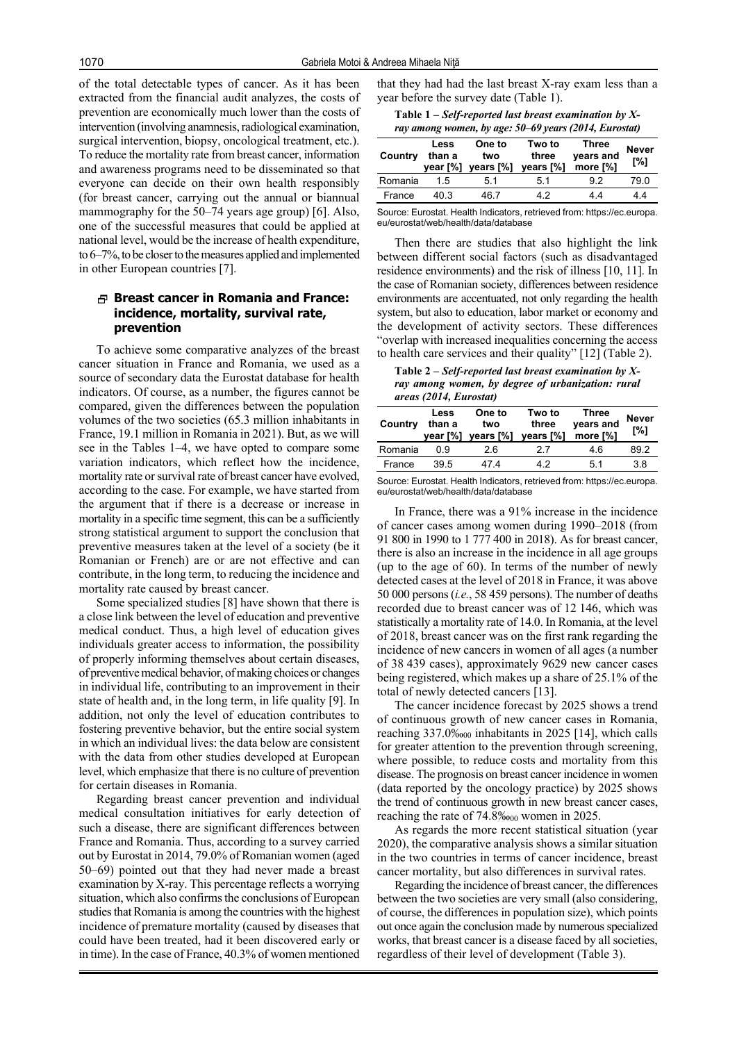of the total detectable types of cancer. As it has been extracted from the financial audit analyzes, the costs of prevention are economically much lower than the costs of intervention (involving anamnesis, radiological examination, surgical intervention, biopsy, oncological treatment, etc.). To reduce the mortality rate from breast cancer, information and awareness programs need to be disseminated so that everyone can decide on their own health responsibly (for breast cancer, carrying out the annual or biannual mammography for the 50–74 years age group) [6]. Also, one of the successful measures that could be applied at national level, would be the increase of health expenditure, to 6–7%, to be closer to the measures applied and implemented in other European countries [7].

## **Breast cancer in Romania and France: incidence, mortality, survival rate, prevention**

To achieve some comparative analyzes of the breast cancer situation in France and Romania, we used as a source of secondary data the Eurostat database for health indicators. Of course, as a number, the figures cannot be compared, given the differences between the population volumes of the two societies (65.3 million inhabitants in France, 19.1 million in Romania in 2021). But, as we will see in the Tables 1–4, we have opted to compare some variation indicators, which reflect how the incidence, mortality rate or survival rate of breast cancer have evolved, according to the case. For example, we have started from the argument that if there is a decrease or increase in mortality in a specific time segment, this can be a sufficiently strong statistical argument to support the conclusion that preventive measures taken at the level of a society (be it Romanian or French) are or are not effective and can contribute, in the long term, to reducing the incidence and mortality rate caused by breast cancer.

Some specialized studies [8] have shown that there is a close link between the level of education and preventive medical conduct. Thus, a high level of education gives individuals greater access to information, the possibility of properly informing themselves about certain diseases, of preventive medical behavior, of making choices or changes in individual life, contributing to an improvement in their state of health and, in the long term, in life quality [9]. In addition, not only the level of education contributes to fostering preventive behavior, but the entire social system in which an individual lives: the data below are consistent with the data from other studies developed at European level, which emphasize that there is no culture of prevention for certain diseases in Romania.

Regarding breast cancer prevention and individual medical consultation initiatives for early detection of such a disease, there are significant differences between France and Romania. Thus, according to a survey carried out by Eurostat in 2014, 79.0% of Romanian women (aged 50–69) pointed out that they had never made a breast examination by X-ray. This percentage reflects a worrying situation, which also confirms the conclusions of European studies that Romania is among the countries with the highest incidence of premature mortality (caused by diseases that could have been treated, had it been discovered early or in time). In the case of France, 40.3% of women mentioned

that they had had the last breast X-ray exam less than a year before the survey date (Table 1).

**Table 1 –** *Self-reported last breast examination by Xray among women, by age: 50–69 years (2014, Eurostat)*

| Country | Less<br>than a | One to<br>two<br>year [%] years [%] | Two to<br>three<br>years [%] | Three<br>years and<br>more [%] | <b>Never</b><br>[%] |
|---------|----------------|-------------------------------------|------------------------------|--------------------------------|---------------------|
| Romania | 15             | 51                                  | 51                           | 92                             | 79 O                |
| France  | 40 3           | 46 7                                | 42                           | 44                             | 44                  |

Source: Eurostat. Health Indicators, retrieved from: https://ec.europa. eu/eurostat/web/health/data/database

Then there are studies that also highlight the link between different social factors (such as disadvantaged residence environments) and the risk of illness [10, 11]. In the case of Romanian society, differences between residence environments are accentuated, not only regarding the health system, but also to education, labor market or economy and the development of activity sectors. These differences "overlap with increased inequalities concerning the access to health care services and their quality" [12] (Table 2).

**Table 2 –** *Self-reported last breast examination by Xray among women, by degree of urbanization: rural areas (2014, Eurostat)*

| Country | Less<br>than a | One to<br>two<br>year [%] years [%] | Two to<br>three<br>vears [%] | Three<br>years and<br>more [%] | <b>Never</b><br>r%1 |
|---------|----------------|-------------------------------------|------------------------------|--------------------------------|---------------------|
| Romania | 0 9            | 26                                  | 27                           | 46                             | 892                 |
| France  | 39.5           | 47 4                                | 42                           | 51                             | 38                  |
|         |                |                                     |                              |                                |                     |

Source: Eurostat. Health Indicators, retrieved from: https://ec.europa. eu/eurostat/web/health/data/database

In France, there was a 91% increase in the incidence of cancer cases among women during 1990–2018 (from 91 800 in 1990 to 1 777 400 in 2018). As for breast cancer, there is also an increase in the incidence in all age groups (up to the age of 60). In terms of the number of newly detected cases at the level of 2018 in France, it was above 50 000 persons (*i.e.*, 58 459 persons). The number of deaths recorded due to breast cancer was of 12 146, which was statistically a mortality rate of 14.0. In Romania, at the level of 2018, breast cancer was on the first rank regarding the incidence of new cancers in women of all ages (a number of 38 439 cases), approximately 9629 new cancer cases being registered, which makes up a share of 25.1% of the total of newly detected cancers [13].

The cancer incidence forecast by 2025 shows a trend of continuous growth of new cancer cases in Romania, reaching 337.0‱<sub>00</sub> inhabitants in 2025 [14], which calls for greater attention to the prevention through screening, where possible, to reduce costs and mortality from this disease. The prognosis on breast cancer incidence in women (data reported by the oncology practice) by 2025 shows the trend of continuous growth in new breast cancer cases, reaching the rate of  $74.8\%$ <sub>000</sub> women in 2025.

As regards the more recent statistical situation (year 2020), the comparative analysis shows a similar situation in the two countries in terms of cancer incidence, breast cancer mortality, but also differences in survival rates.

Regarding the incidence of breast cancer, the differences between the two societies are very small (also considering, of course, the differences in population size), which points out once again the conclusion made by numerous specialized works, that breast cancer is a disease faced by all societies, regardless of their level of development (Table 3).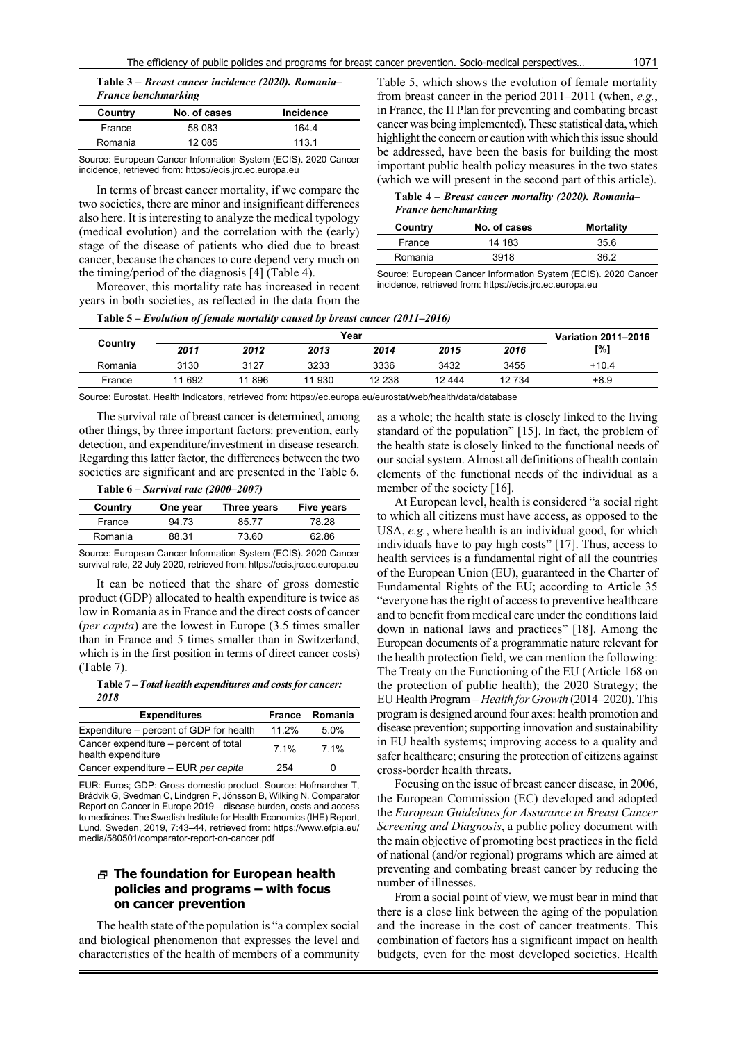**Table 3 –** *Breast cancer incidence (2020). Romania– France benchmarking*

| Country | No. of cases | Incidence |
|---------|--------------|-----------|
| France  | 58 083       | 1644      |
| Romania | 12 085       | 1131      |

Source: European Cancer Information System (ECIS). 2020 Cancer incidence, retrieved from: https://ecis.jrc.ec.europa.eu

In terms of breast cancer mortality, if we compare the two societies, there are minor and insignificant differences also here. It is interesting to analyze the medical typology (medical evolution) and the correlation with the (early) stage of the disease of patients who died due to breast cancer, because the chances to cure depend very much on the timing/period of the diagnosis [4] (Table 4).

Moreover, this mortality rate has increased in recent years in both societies, as reflected in the data from the

Table 5, which shows the evolution of female mortality from breast cancer in the period 2011–2011 (when, *e.g.*, in France, the II Plan for preventing and combating breast cancer was being implemented). These statistical data, which highlight the concern or caution with which this issue should be addressed, have been the basis for building the most important public health policy measures in the two states (which we will present in the second part of this article).

**Table 4 –** *Breast cancer mortality (2020). Romania– France benchmarking*

| Country | No. of cases  | <b>Mortality</b> |
|---------|---------------|------------------|
| France  | 14 183        | 35.6             |
| Romania | 3918          | 36.2             |
|         | $\sim$ $\sim$ | $       -$       |

Source: European Cancer Information System (ECIS). 2020 Cancer incidence, retrieved from: https://ecis.jrc.ec.europa.eu

**Table 5 –** *Evolution of female mortality caused by breast cancer (2011–2016)*

|         | Year   |       |      |        |         | Variation 2011-2016 |         |
|---------|--------|-------|------|--------|---------|---------------------|---------|
| Country | 2011   | 2012  | 2013 | 2014   | 2015    | 2016                | [%]     |
| Romania | 3130   | 3127  | 3233 | 3336   | 3432    | 3455                | $+10.4$ |
| France  | 11 692 | 11896 | 930  | 12 238 | 12 4 44 | 12 734              | $+8.9$  |

Source: Eurostat. Health Indicators, retrieved from: https://ec.europa.eu/eurostat/web/health/data/database

The survival rate of breast cancer is determined, among other things, by three important factors: prevention, early detection, and expenditure/investment in disease research. Regarding this latter factor, the differences between the two societies are significant and are presented in the Table 6.

**Table 6 –** *Survival rate (2000–2007)*

| Country | One year | Three years | <b>Five years</b> |
|---------|----------|-------------|-------------------|
| France  | 94 73    | 8577        | 78.28             |
| Romania | 88.31    | 73.60       | 62.86             |

Source: European Cancer Information System (ECIS). 2020 Cancer survival rate, 22 July 2020, retrieved from: https://ecis.jrc.ec.europa.eu

It can be noticed that the share of gross domestic product (GDP) allocated to health expenditure is twice as low in Romania as in France and the direct costs of cancer (*per capita*) are the lowest in Europe (3.5 times smaller than in France and 5 times smaller than in Switzerland, which is in the first position in terms of direct cancer costs) (Table 7).

**Table 7 –** *Total health expenditures and costs for cancer: 2018*

| <b>Expenditures</b>                                         | France | Romania |
|-------------------------------------------------------------|--------|---------|
| Expenditure - percent of GDP for health                     | 11.2%  | 5.0%    |
| Cancer expenditure – percent of total<br>health expenditure | 7 1%   | 7 1%    |
| Cancer expenditure - EUR per capita                         | 254    |         |

EUR: Euros; GDP: Gross domestic product. Source: Hofmarcher T, Brådvik G, Svedman C, Lindgren P, Jönsson B, Wilking N. Comparator Report on Cancer in Europe 2019 – disease burden, costs and access to medicines. The Swedish Institute for Health Economics (IHE) Report, Lund, Sweden, 2019, 7:43–44, retrieved from: https://www.efpia.eu/ media/580501/comparator-report-on-cancer.pdf

# **The foundation for European health policies and programs – with focus on cancer prevention**

The health state of the population is "a complex social and biological phenomenon that expresses the level and characteristics of the health of members of a community

as a whole; the health state is closely linked to the living standard of the population" [15]. In fact, the problem of the health state is closely linked to the functional needs of our social system. Almost all definitions of health contain elements of the functional needs of the individual as a member of the society [16].

At European level, health is considered "a social right to which all citizens must have access, as opposed to the USA, *e.g.*, where health is an individual good, for which individuals have to pay high costs" [17]. Thus, access to health services is a fundamental right of all the countries of the European Union (EU), guaranteed in the Charter of Fundamental Rights of the EU; according to Article 35 "everyone has the right of access to preventive healthcare and to benefit from medical care under the conditions laid down in national laws and practices" [18]. Among the European documents of a programmatic nature relevant for the health protection field, we can mention the following: The Treaty on the Functioning of the EU (Article 168 on the protection of public health); the 2020 Strategy; the EU Health Program – *Health for Growth* (2014–2020). This program is designed around four axes: health promotion and disease prevention; supporting innovation and sustainability in EU health systems; improving access to a quality and safer healthcare; ensuring the protection of citizens against cross-border health threats.

Focusing on the issue of breast cancer disease, in 2006, the European Commission (EC) developed and adopted the *European Guidelines for Assurance in Breast Cancer Screening and Diagnosis*, a public policy document with the main objective of promoting best practices in the field of national (and/or regional) programs which are aimed at preventing and combating breast cancer by reducing the number of illnesses.

From a social point of view, we must bear in mind that there is a close link between the aging of the population and the increase in the cost of cancer treatments. This combination of factors has a significant impact on health budgets, even for the most developed societies. Health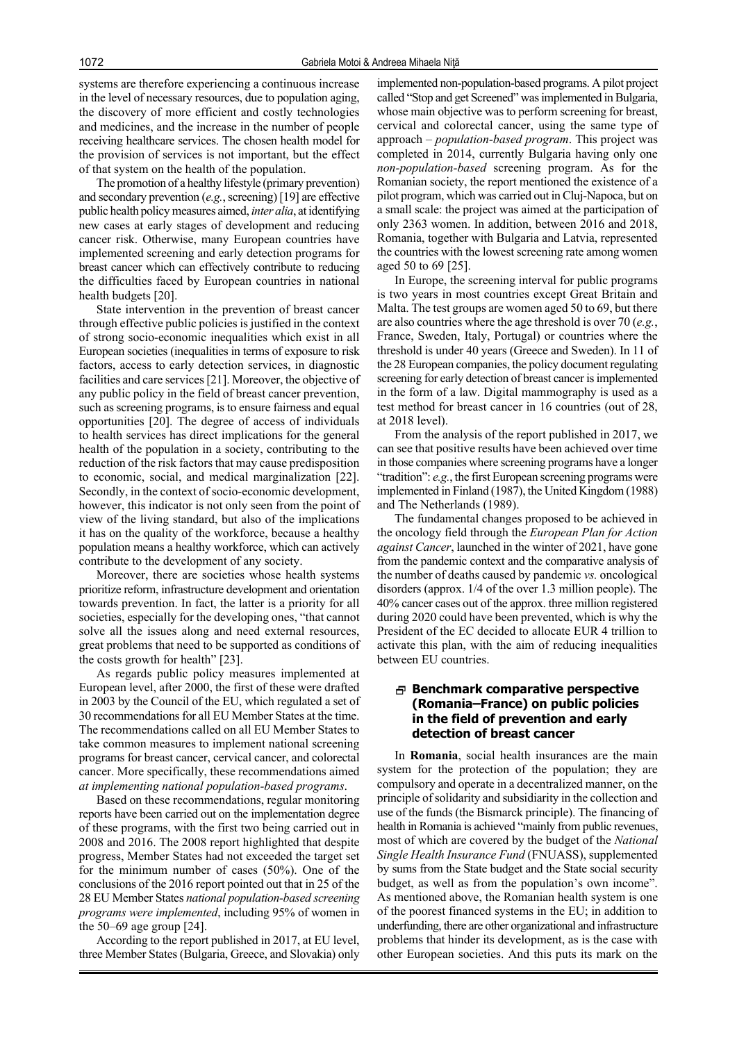systems are therefore experiencing a continuous increase in the level of necessary resources, due to population aging, the discovery of more efficient and costly technologies and medicines, and the increase in the number of people receiving healthcare services. The chosen health model for the provision of services is not important, but the effect of that system on the health of the population.

The promotion of a healthy lifestyle (primary prevention) and secondary prevention (*e.g.*, screening) [19] are effective public health policy measures aimed, *inter alia*, at identifying new cases at early stages of development and reducing cancer risk. Otherwise, many European countries have implemented screening and early detection programs for breast cancer which can effectively contribute to reducing the difficulties faced by European countries in national health budgets [20].

State intervention in the prevention of breast cancer through effective public policies is justified in the context of strong socio-economic inequalities which exist in all European societies (inequalities in terms of exposure to risk factors, access to early detection services, in diagnostic facilities and care services [21]. Moreover, the objective of any public policy in the field of breast cancer prevention, such as screening programs, is to ensure fairness and equal opportunities [20]. The degree of access of individuals to health services has direct implications for the general health of the population in a society, contributing to the reduction of the risk factors that may cause predisposition to economic, social, and medical marginalization [22]. Secondly, in the context of socio-economic development, however, this indicator is not only seen from the point of view of the living standard, but also of the implications it has on the quality of the workforce, because a healthy population means a healthy workforce, which can actively contribute to the development of any society.

Moreover, there are societies whose health systems prioritize reform, infrastructure development and orientation towards prevention. In fact, the latter is a priority for all societies, especially for the developing ones, "that cannot solve all the issues along and need external resources, great problems that need to be supported as conditions of the costs growth for health" [23].

As regards public policy measures implemented at European level, after 2000, the first of these were drafted in 2003 by the Council of the EU, which regulated a set of 30 recommendations for all EU Member States at the time. The recommendations called on all EU Member States to take common measures to implement national screening programs for breast cancer, cervical cancer, and colorectal cancer. More specifically, these recommendations aimed *at implementing national population-based programs*.

Based on these recommendations, regular monitoring reports have been carried out on the implementation degree of these programs, with the first two being carried out in 2008 and 2016. The 2008 report highlighted that despite progress, Member States had not exceeded the target set for the minimum number of cases (50%). One of the conclusions of the 2016 report pointed out that in 25 of the 28 EU Member States *national population-based screening programs were implemented*, including 95% of women in the 50–69 age group [24].

According to the report published in 2017, at EU level, three Member States (Bulgaria, Greece, and Slovakia) only implemented non-population-based programs. A pilot project called "Stop and get Screened" was implemented in Bulgaria, whose main objective was to perform screening for breast, cervical and colorectal cancer, using the same type of approach – *population-based program*. This project was completed in 2014, currently Bulgaria having only one *non-population-based* screening program. As for the Romanian society, the report mentioned the existence of a pilot program, which was carried out in Cluj-Napoca, but on a small scale: the project was aimed at the participation of only 2363 women. In addition, between 2016 and 2018, Romania, together with Bulgaria and Latvia, represented the countries with the lowest screening rate among women aged 50 to 69 [25].

In Europe, the screening interval for public programs is two years in most countries except Great Britain and Malta. The test groups are women aged 50 to 69, but there are also countries where the age threshold is over 70 (*e.g.*, France, Sweden, Italy, Portugal) or countries where the threshold is under 40 years (Greece and Sweden). In 11 of the 28 European companies, the policy document regulating screening for early detection of breast cancer is implemented in the form of a law. Digital mammography is used as a test method for breast cancer in 16 countries (out of 28, at 2018 level).

From the analysis of the report published in 2017, we can see that positive results have been achieved over time in those companies where screening programs have a longer "tradition": *e.g.*, the first European screening programs were implemented in Finland (1987), the United Kingdom (1988) and The Netherlands (1989).

The fundamental changes proposed to be achieved in the oncology field through the *European Plan for Action against Cancer*, launched in the winter of 2021, have gone from the pandemic context and the comparative analysis of the number of deaths caused by pandemic *vs.* oncological disorders (approx. 1/4 of the over 1.3 million people). The 40% cancer cases out of the approx. three million registered during 2020 could have been prevented, which is why the President of the EC decided to allocate EUR 4 trillion to activate this plan, with the aim of reducing inequalities between EU countries.

# **Benchmark comparative perspective (Romania–France) on public policies in the field of prevention and early detection of breast cancer**

In **Romania**, social health insurances are the main system for the protection of the population; they are compulsory and operate in a decentralized manner, on the principle of solidarity and subsidiarity in the collection and use of the funds (the Bismarck principle). The financing of health in Romania is achieved "mainly from public revenues, most of which are covered by the budget of the *National Single Health Insurance Fund* (FNUASS), supplemented by sums from the State budget and the State social security budget, as well as from the population's own income". As mentioned above, the Romanian health system is one of the poorest financed systems in the EU; in addition to underfunding, there are other organizational and infrastructure problems that hinder its development, as is the case with other European societies. And this puts its mark on the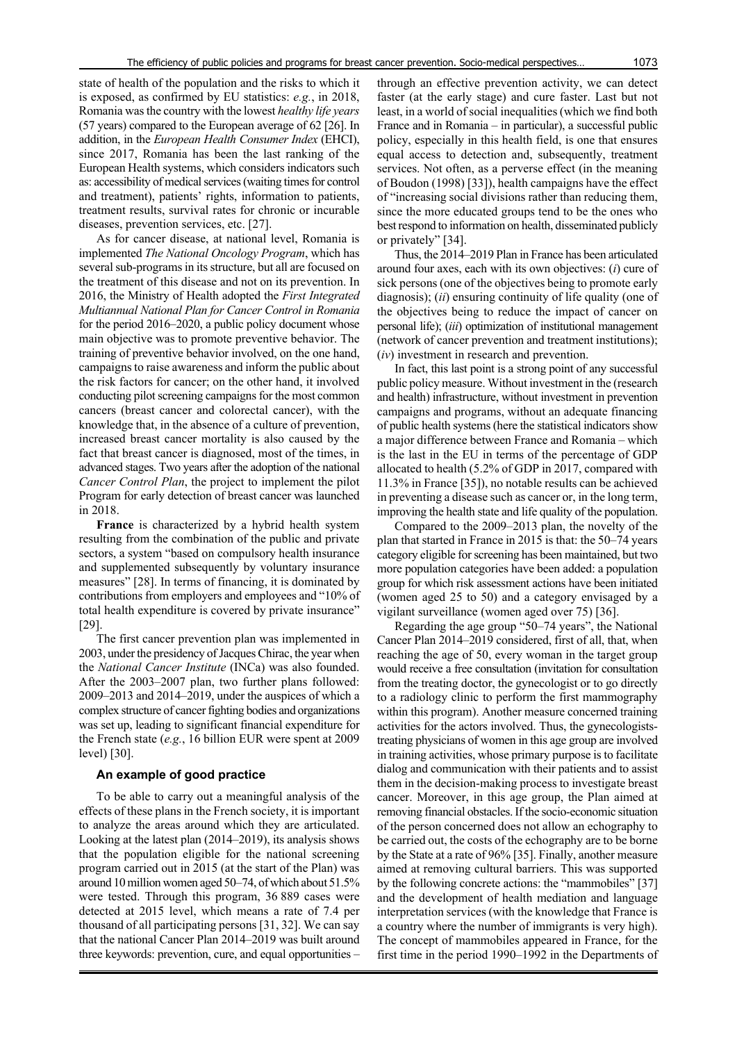state of health of the population and the risks to which it is exposed, as confirmed by EU statistics: *e.g.*, in 2018, Romania was the country with the lowest *healthy life years* (57 years) compared to the European average of 62 [26]. In addition, in the *European Health Consumer Index* (EHCI), since 2017, Romania has been the last ranking of the European Health systems, which considers indicators such as: accessibility of medical services (waiting times for control and treatment), patients' rights, information to patients, treatment results, survival rates for chronic or incurable diseases, prevention services, etc. [27].

As for cancer disease, at national level, Romania is implemented *The National Oncology Program*, which has several sub-programs in its structure, but all are focused on the treatment of this disease and not on its prevention. In 2016, the Ministry of Health adopted the *First Integrated Multiannual National Plan for Cancer Control in Romania* for the period 2016–2020, a public policy document whose main objective was to promote preventive behavior. The training of preventive behavior involved, on the one hand, campaigns to raise awareness and inform the public about the risk factors for cancer; on the other hand, it involved conducting pilot screening campaigns for the most common cancers (breast cancer and colorectal cancer), with the knowledge that, in the absence of a culture of prevention, increased breast cancer mortality is also caused by the fact that breast cancer is diagnosed, most of the times, in advanced stages. Two years after the adoption of the national *Cancer Control Plan*, the project to implement the pilot Program for early detection of breast cancer was launched in 2018.

**France** is characterized by a hybrid health system resulting from the combination of the public and private sectors, a system "based on compulsory health insurance and supplemented subsequently by voluntary insurance measures" [28]. In terms of financing, it is dominated by contributions from employers and employees and "10% of total health expenditure is covered by private insurance" [29].

The first cancer prevention plan was implemented in 2003, under the presidency of Jacques Chirac, the year when the *National Cancer Institute* (INCa) was also founded. After the 2003–2007 plan, two further plans followed: 2009–2013 and 2014–2019, under the auspices of which a complex structure of cancer fighting bodies and organizations was set up, leading to significant financial expenditure for the French state (*e.g.*, 16 billion EUR were spent at 2009 level) [30].

### **An example of good practice**

To be able to carry out a meaningful analysis of the effects of these plans in the French society, it is important to analyze the areas around which they are articulated. Looking at the latest plan (2014–2019), its analysis shows that the population eligible for the national screening program carried out in 2015 (at the start of the Plan) was around 10 million women aged 50–74, of which about 51.5% were tested. Through this program, 36 889 cases were detected at 2015 level, which means a rate of 7.4 per thousand of all participating persons [31, 32]. We can say that the national Cancer Plan 2014–2019 was built around three keywords: prevention, cure, and equal opportunities –

through an effective prevention activity, we can detect faster (at the early stage) and cure faster. Last but not least, in a world of social inequalities (which we find both France and in Romania – in particular), a successful public policy, especially in this health field, is one that ensures equal access to detection and, subsequently, treatment services. Not often, as a perverse effect (in the meaning of Boudon (1998) [33]), health campaigns have the effect of "increasing social divisions rather than reducing them, since the more educated groups tend to be the ones who best respond to information on health, disseminated publicly or privately" [34].

Thus, the 2014–2019 Plan in France has been articulated around four axes, each with its own objectives: (*i*) cure of sick persons (one of the objectives being to promote early diagnosis); (*ii*) ensuring continuity of life quality (one of the objectives being to reduce the impact of cancer on personal life); (*iii*) optimization of institutional management (network of cancer prevention and treatment institutions); (*iv*) investment in research and prevention.

In fact, this last point is a strong point of any successful public policy measure. Without investment in the (research and health) infrastructure, without investment in prevention campaigns and programs, without an adequate financing of public health systems (here the statistical indicators show a major difference between France and Romania – which is the last in the EU in terms of the percentage of GDP allocated to health (5.2% of GDP in 2017, compared with 11.3% in France [35]), no notable results can be achieved in preventing a disease such as cancer or, in the long term, improving the health state and life quality of the population.

Compared to the 2009–2013 plan, the novelty of the plan that started in France in 2015 is that: the 50–74 years category eligible for screening has been maintained, but two more population categories have been added: a population group for which risk assessment actions have been initiated (women aged 25 to 50) and a category envisaged by a vigilant surveillance (women aged over 75) [36].

Regarding the age group "50–74 years", the National Cancer Plan 2014–2019 considered, first of all, that, when reaching the age of 50, every woman in the target group would receive a free consultation (invitation for consultation from the treating doctor, the gynecologist or to go directly to a radiology clinic to perform the first mammography within this program). Another measure concerned training activities for the actors involved. Thus, the gynecologiststreating physicians of women in this age group are involved in training activities, whose primary purpose is to facilitate dialog and communication with their patients and to assist them in the decision-making process to investigate breast cancer. Moreover, in this age group, the Plan aimed at removing financial obstacles. If the socio-economic situation of the person concerned does not allow an echography to be carried out, the costs of the echography are to be borne by the State at a rate of 96% [35]. Finally, another measure aimed at removing cultural barriers. This was supported by the following concrete actions: the "mammobiles" [37] and the development of health mediation and language interpretation services (with the knowledge that France is a country where the number of immigrants is very high). The concept of mammobiles appeared in France, for the first time in the period 1990–1992 in the Departments of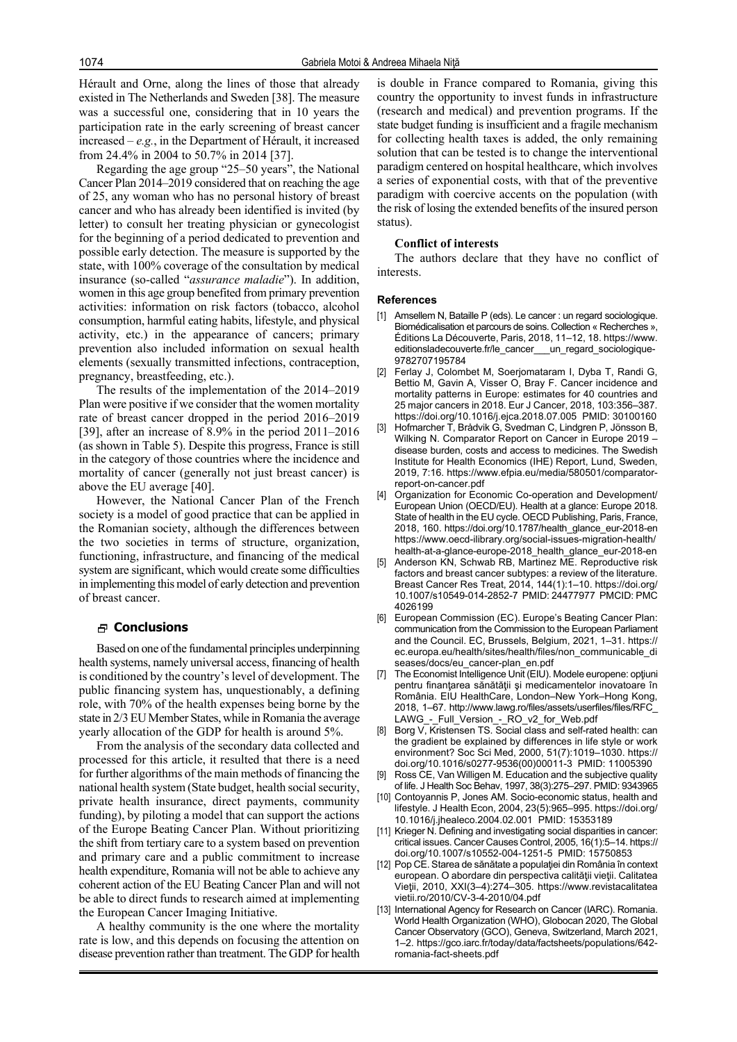Hérault and Orne, along the lines of those that already existed in The Netherlands and Sweden [38]. The measure was a successful one, considering that in 10 years the participation rate in the early screening of breast cancer increased – *e.g.*, in the Department of Hérault, it increased from 24.4% in 2004 to 50.7% in 2014 [37].

Regarding the age group "25–50 years", the National Cancer Plan 2014–2019 considered that on reaching the age of 25, any woman who has no personal history of breast cancer and who has already been identified is invited (by letter) to consult her treating physician or gynecologist for the beginning of a period dedicated to prevention and possible early detection. The measure is supported by the state, with 100% coverage of the consultation by medical insurance (so-called "*assurance maladie*"). In addition, women in this age group benefited from primary prevention activities: information on risk factors (tobacco, alcohol consumption, harmful eating habits, lifestyle, and physical activity, etc.) in the appearance of cancers; primary prevention also included information on sexual health elements (sexually transmitted infections, contraception, pregnancy, breastfeeding, etc.).

The results of the implementation of the 2014–2019 Plan were positive if we consider that the women mortality rate of breast cancer dropped in the period 2016–2019 [39], after an increase of 8.9% in the period 2011–2016 (as shown in Table 5). Despite this progress, France is still in the category of those countries where the incidence and mortality of cancer (generally not just breast cancer) is above the EU average [40].

However, the National Cancer Plan of the French society is a model of good practice that can be applied in the Romanian society, although the differences between the two societies in terms of structure, organization, functioning, infrastructure, and financing of the medical system are significant, which would create some difficulties in implementing this model of early detection and prevention of breast cancer.

#### **Conclusions**

Based on one of the fundamental principles underpinning health systems, namely universal access, financing of health is conditioned by the country's level of development. The public financing system has, unquestionably, a defining role, with 70% of the health expenses being borne by the state in 2/3 EU Member States, while in Romania the average yearly allocation of the GDP for health is around 5%.

From the analysis of the secondary data collected and processed for this article, it resulted that there is a need for further algorithms of the main methods of financing the national health system (State budget, health social security, private health insurance, direct payments, community funding), by piloting a model that can support the actions of the Europe Beating Cancer Plan. Without prioritizing the shift from tertiary care to a system based on prevention and primary care and a public commitment to increase health expenditure, Romania will not be able to achieve any coherent action of the EU Beating Cancer Plan and will not be able to direct funds to research aimed at implementing the European Cancer Imaging Initiative.

A healthy community is the one where the mortality rate is low, and this depends on focusing the attention on disease prevention rather than treatment. The GDP for health is double in France compared to Romania, giving this country the opportunity to invest funds in infrastructure (research and medical) and prevention programs. If the state budget funding is insufficient and a fragile mechanism for collecting health taxes is added, the only remaining solution that can be tested is to change the interventional paradigm centered on hospital healthcare, which involves a series of exponential costs, with that of the preventive paradigm with coercive accents on the population (with the risk of losing the extended benefits of the insured person status).

### **Conflict of interests**

The authors declare that they have no conflict of interests.

#### **References**

- [1] Amsellem N, Bataille P (eds). Le cancer : un regard sociologique. Biomédicalisation et parcours de soins. Collection « Recherches », Éditions La Découverte, Paris, 2018, 11–12, 18. https://www. editionsladecouverte.fr/le\_cancer\_\_\_un\_regard\_sociologique-9782707195784
- [2] Ferlay J, Colombet M, Soerjomataram I, Dyba T, Randi G, Bettio M, Gavin A, Visser O, Bray F. Cancer incidence and mortality patterns in Europe: estimates for 40 countries and 25 major cancers in 2018. Eur J Cancer, 2018, 103:356–387. https://doi.org/10.1016/j.ejca.2018.07.005 PMID: 30100160
- [3] Hofmarcher T, Brådvik G, Svedman C, Lindgren P, Jönsson B, Wilking N. Comparator Report on Cancer in Europe 2019 – disease burden, costs and access to medicines. The Swedish Institute for Health Economics (IHE) Report, Lund, Sweden, 2019, 7:16. https://www.efpia.eu/media/580501/comparatorreport-on-cancer.pdf
- Organization for Economic Co-operation and Development/ European Union (OECD/EU). Health at a glance: Europe 2018. State of health in the EU cycle. OECD Publishing, Paris, France, 2018, 160. https://doi.org/10.1787/health\_glance\_eur-2018-en https://www.oecd-ilibrary.org/social-issues-migration-health/ health-at-a-glance-europe-2018\_health\_glance\_eur-2018-en
- [5] Anderson KN, Schwab RB, Martinez ME. Reproductive risk factors and breast cancer subtypes: a review of the literature. Breast Cancer Res Treat, 2014, 144(1):1–10. https://doi.org/ 10.1007/s10549-014-2852-7 PMID: 24477977 PMCID: PMC 4026199
- [6] European Commission (EC). Europe's Beating Cancer Plan: communication from the Commission to the European Parliament and the Council. EC, Brussels, Belgium, 2021, 1–31. https:// ec.europa.eu/health/sites/health/files/non\_communicable\_di seases/docs/eu\_cancer-plan\_en.pdf
- [7] The Economist Intelligence Unit (EIU). Modele europene: optiuni pentru finantarea sănătății și medicamentelor inovatoare în România. EIU HealthCare, London–New York–Hong Kong, 2018, 1–67. http://www.lawg.ro/files/assets/userfiles/files/RFC\_ LAWG\_-\_Full\_Version\_-\_RO\_v2\_for\_Web.pdf
- Borg V, Kristensen TS. Social class and self-rated health: can the gradient be explained by differences in life style or work environment? Soc Sci Med, 2000, 51(7):1019–1030. https:// doi.org/10.1016/s0277-9536(00)00011-3 PMID: 11005390
- [9] Ross CE, Van Willigen M. Education and the subjective quality of life. J Health Soc Behav, 1997, 38(3):275–297. PMID: 9343965
- [10] Contoyannis P, Jones AM. Socio-economic status, health and lifestyle. J Health Econ, 2004, 23(5):965–995. https://doi.org/ 10.1016/j.jhealeco.2004.02.001 PMID: 15353189
- [11] Krieger N. Defining and investigating social disparities in cancer: critical issues. Cancer Causes Control, 2005, 16(1):5–14. https:// doi.org/10.1007/s10552-004-1251-5 PMID: 15750853
- [12] Pop CE. Starea de sănătate a populației din România în context european. O abordare din perspectiva calităţii vieţii. Calitatea Vieţii, 2010, XXI(3–4):274–305. https://www.revistacalitatea vietii.ro/2010/CV-3-4-2010/04.pdf
- [13] International Agency for Research on Cancer (IARC). Romania. World Health Organization (WHO), Globocan 2020, The Global Cancer Observatory (GCO), Geneva, Switzerland, March 2021, 1–2. https://gco.iarc.fr/today/data/factsheets/populations/642 romania-fact-sheets.pdf